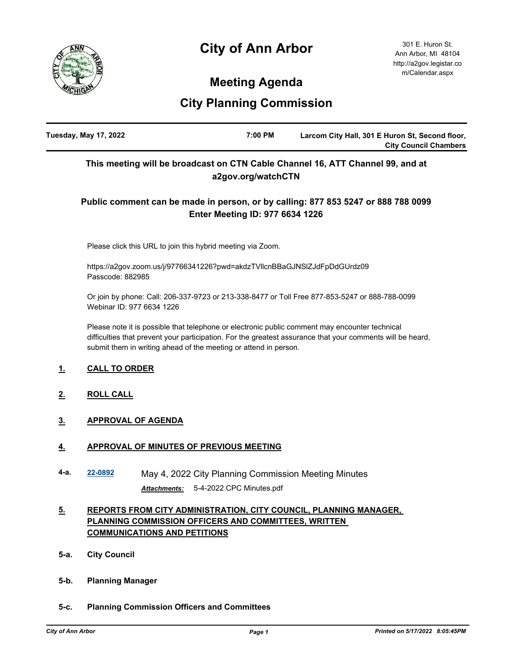# **City of Ann Arbor**



301 E. Huron St. Ann Arbor, MI 48104 http://a2gov.legistar.co m/Calendar.aspx

## **Meeting Agenda**

## **City Planning Commission**

| Tuesday, May 17, 2022 | 7:00 PM | Larcom City Hall, 301 E Huron St, Second floor, |
|-----------------------|---------|-------------------------------------------------|
|                       |         | <b>City Council Chambers</b>                    |

## **This meeting will be broadcast on CTN Cable Channel 16, ATT Channel 99, and at a2gov.org/watchCTN**

## **Public comment can be made in person, or by calling: 877 853 5247 or 888 788 0099 Enter Meeting ID: 977 6634 1226**

Please click this URL to join this hybrid meeting via Zoom.

https://a2gov.zoom.us/j/97766341226?pwd=akdzTVllcnBBaGJNSlZJdFpDdGUrdz09 Passcode: 882985

Or join by phone: Call: 206-337-9723 or 213-338-8477 or Toll Free 877-853-5247 or 888-788-0099 Webinar ID: 977 6634 1226

Please note it is possible that telephone or electronic public comment may encounter technical difficulties that prevent your participation. For the greatest assurance that your comments will be heard, submit them in writing ahead of the meeting or attend in person.

### **1. CALL TO ORDER**

- **2. ROLL CALL**
- **3. APPROVAL OF AGENDA**

#### **4. APPROVAL OF MINUTES OF PREVIOUS MEETING**

**4-a. [22-0892](http://a2gov.legistar.com/gateway.aspx?M=L&ID=30068)** May 4, 2022 City Planning Commission Meeting Minutes *Attachments:* 5-4-2022 CPC Minutes.pdf

## **5. REPORTS FROM CITY ADMINISTRATION, CITY COUNCIL, PLANNING MANAGER, PLANNING COMMISSION OFFICERS AND COMMITTEES, WRITTEN COMMUNICATIONS AND PETITIONS**

- **5-a. City Council**
- **5-b. Planning Manager**
- **5-c. Planning Commission Officers and Committees**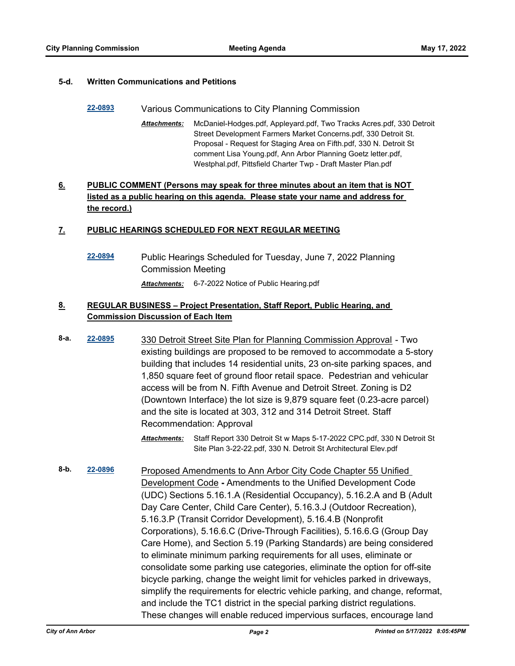#### **5-d. Written Communications and Petitions**

#### **[22-0893](http://a2gov.legistar.com/gateway.aspx?M=L&ID=30069)** Various Communications to City Planning Commission

McDaniel-Hodges.pdf, Appleyard.pdf, Two Tracks Acres.pdf, 330 Detroit Street Development Farmers Market Concerns.pdf, 330 Detroit St. Proposal - Request for Staging Area on Fifth.pdf, 330 N. Detroit St comment Lisa Young.pdf, Ann Arbor Planning Goetz letter.pdf, Westphal.pdf, Pittsfield Charter Twp - Draft Master Plan.pdf *Attachments:*

## **6. PUBLIC COMMENT (Persons may speak for three minutes about an item that is NOT listed as a public hearing on this agenda. Please state your name and address for the record.)**

#### **7. PUBLIC HEARINGS SCHEDULED FOR NEXT REGULAR MEETING**

**[22-0894](http://a2gov.legistar.com/gateway.aspx?M=L&ID=30070)** Public Hearings Scheduled for Tuesday, June 7, 2022 Planning Commission Meeting *Attachments:* 6-7-2022 Notice of Public Hearing.pdf

### **8. REGULAR BUSINESS – Project Presentation, Staff Report, Public Hearing, and Commission Discussion of Each Item**

- **8-a. [22-0895](http://a2gov.legistar.com/gateway.aspx?M=L&ID=30071)** 330 Detroit Street Site Plan for Planning Commission Approval Two existing buildings are proposed to be removed to accommodate a 5-story building that includes 14 residential units, 23 on-site parking spaces, and 1,850 square feet of ground floor retail space. Pedestrian and vehicular access will be from N. Fifth Avenue and Detroit Street. Zoning is D2 (Downtown Interface) the lot size is 9,879 square feet (0.23-acre parcel) and the site is located at 303, 312 and 314 Detroit Street. Staff Recommendation: Approval
	- Staff Report 330 Detroit St w Maps 5-17-2022 CPC.pdf, 330 N Detroit St Site Plan 3-22-22.pdf, 330 N. Detroit St Architectural Elev.pdf *Attachments:*
- **8-b. [22-0896](http://a2gov.legistar.com/gateway.aspx?M=L&ID=30072)** Proposed Amendments to Ann Arbor City Code Chapter 55 Unified Development Code **-** Amendments to the Unified Development Code (UDC) Sections 5.16.1.A (Residential Occupancy), 5.16.2.A and B (Adult Day Care Center, Child Care Center), 5.16.3.J (Outdoor Recreation), 5.16.3.P (Transit Corridor Development), 5.16.4.B (Nonprofit Corporations), 5.16.6.C (Drive-Through Facilities), 5.16.6.G (Group Day Care Home), and Section 5.19 (Parking Standards) are being considered to eliminate minimum parking requirements for all uses, eliminate or consolidate some parking use categories, eliminate the option for off-site bicycle parking, change the weight limit for vehicles parked in driveways, simplify the requirements for electric vehicle parking, and change, reformat, and include the TC1 district in the special parking district regulations. These changes will enable reduced impervious surfaces, encourage land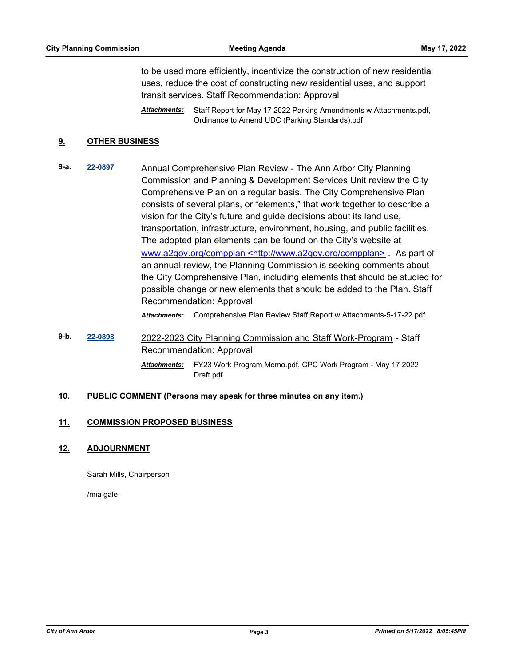to be used more efficiently, incentivize the construction of new residential uses, reduce the cost of constructing new residential uses, and support transit services. Staff Recommendation: Approval

Staff Report for May 17 2022 Parking Amendments w Attachments.pdf, Ordinance to Amend UDC (Parking Standards).pdf *Attachments:*

#### **9. OTHER BUSINESS**

**9-a. [22-0897](http://a2gov.legistar.com/gateway.aspx?M=L&ID=30073)** Annual Comprehensive Plan Review - The Ann Arbor City Planning Commission and Planning & Development Services Unit review the City Comprehensive Plan on a regular basis. The City Comprehensive Plan consists of several plans, or "elements," that work together to describe a vision for the City's future and guide decisions about its land use, transportation, infrastructure, environment, housing, and public facilities. The adopted plan elements can be found on the City's website at www.a2gov.org/compplan <http://www.a2gov.org/compplan> *.* As part of an annual review, the Planning Commission is seeking comments about the City Comprehensive Plan, including elements that should be studied for possible change or new elements that should be added to the Plan. Staff Recommendation: Approval

*Attachments:* Comprehensive Plan Review Staff Report w Attachments-5-17-22.pdf

**9-b. [22-0898](http://a2gov.legistar.com/gateway.aspx?M=L&ID=30074)** 2022-2023 City Planning Commission and Staff Work-Program - Staff Recommendation: Approval FY23 Work Program Memo.pdf, CPC Work Program - May 17 2022 *Attachments:* Draft.pdf

#### **10. PUBLIC COMMENT (Persons may speak for three minutes on any item.)**

#### **11. COMMISSION PROPOSED BUSINESS**

#### **12. ADJOURNMENT**

Sarah Mills, Chairperson

/mia gale